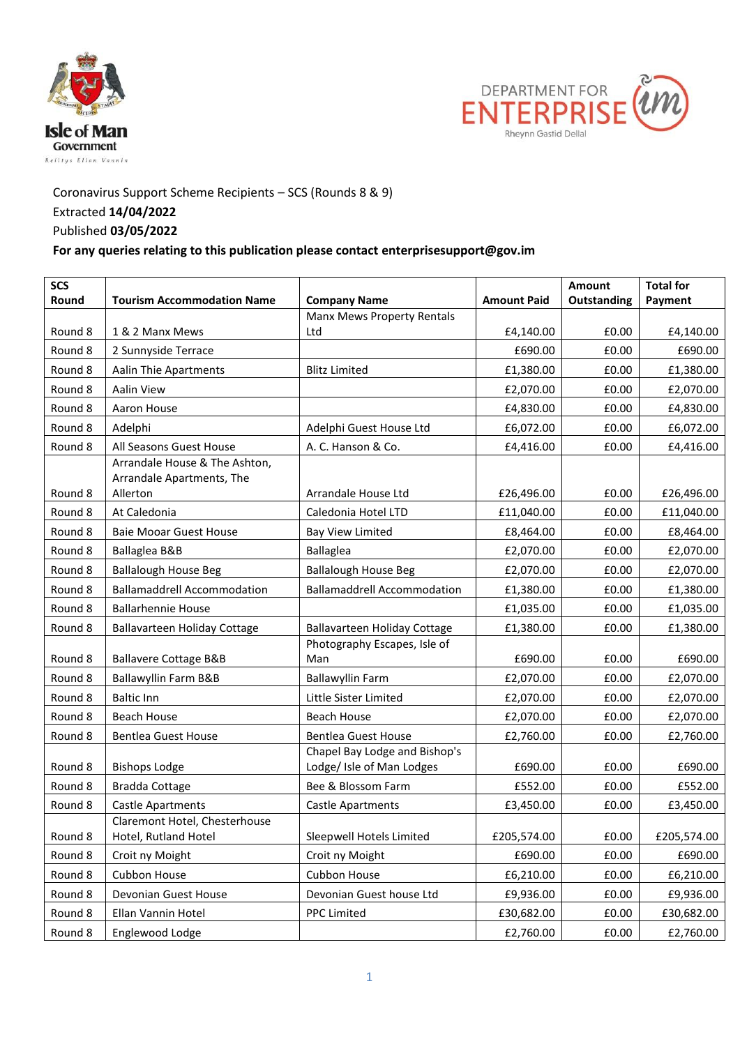



## Coronavirus Support Scheme Recipients – SCS (Rounds 8 & 9) Extracted **14/04/2022** Published **03/05/2022**

## **For any queries relating to this publication please contact enterprisesupport@gov.im**

| <b>SCS</b><br>Round | <b>Tourism Accommodation Name</b>                     | <b>Company Name</b>                 | <b>Amount Paid</b> | Amount<br>Outstanding | <b>Total for</b><br>Payment |
|---------------------|-------------------------------------------------------|-------------------------------------|--------------------|-----------------------|-----------------------------|
|                     |                                                       | <b>Manx Mews Property Rentals</b>   |                    |                       |                             |
| Round 8             | 1 & 2 Manx Mews                                       | Ltd                                 | £4,140.00          | £0.00                 | £4,140.00                   |
| Round 8             | 2 Sunnyside Terrace                                   |                                     | £690.00            | £0.00                 | £690.00                     |
| Round 8             | <b>Aalin Thie Apartments</b>                          | <b>Blitz Limited</b>                | £1,380.00          | £0.00                 | £1,380.00                   |
| Round 8             | Aalin View                                            |                                     | £2,070.00          | £0.00                 | £2,070.00                   |
| Round 8             | Aaron House                                           |                                     | £4,830.00          | £0.00                 | £4,830.00                   |
| Round 8             | Adelphi                                               | Adelphi Guest House Ltd             | £6,072.00          | £0.00                 | £6,072.00                   |
| Round 8             | All Seasons Guest House                               | A. C. Hanson & Co.                  | £4,416.00          | £0.00                 | £4,416.00                   |
|                     | Arrandale House & The Ashton,                         |                                     |                    |                       |                             |
|                     | Arrandale Apartments, The                             |                                     |                    |                       |                             |
| Round 8             | Allerton                                              | Arrandale House Ltd                 | £26,496.00         | £0.00                 | £26,496.00                  |
| Round 8             | At Caledonia                                          | Caledonia Hotel LTD                 | £11,040.00         | £0.00                 | £11,040.00                  |
| Round 8             | <b>Baie Mooar Guest House</b>                         | <b>Bay View Limited</b>             | £8,464.00          | £0.00                 | £8,464.00                   |
| Round 8             | Ballaglea B&B                                         | <b>Ballaglea</b>                    | £2,070.00          | £0.00                 | £2,070.00                   |
| Round 8             | <b>Ballalough House Beg</b>                           | <b>Ballalough House Beg</b>         | £2,070.00          | £0.00                 | £2,070.00                   |
| Round 8             | <b>Ballamaddrell Accommodation</b>                    | <b>Ballamaddrell Accommodation</b>  | £1,380.00          | £0.00                 | £1,380.00                   |
| Round 8             | <b>Ballarhennie House</b>                             |                                     | £1,035.00          | £0.00                 | £1,035.00                   |
| Round 8             | <b>Ballavarteen Holiday Cottage</b>                   | <b>Ballavarteen Holiday Cottage</b> | £1,380.00          | £0.00                 | £1,380.00                   |
| Round 8             | <b>Ballavere Cottage B&amp;B</b>                      | Photography Escapes, Isle of<br>Man | £690.00            | £0.00                 | £690.00                     |
| Round 8             | Ballawyllin Farm B&B                                  | <b>Ballawyllin Farm</b>             | £2,070.00          | £0.00                 | £2,070.00                   |
| Round 8             | <b>Baltic Inn</b>                                     | Little Sister Limited               | £2,070.00          | £0.00                 | £2,070.00                   |
| Round 8             | Beach House                                           | <b>Beach House</b>                  | £2,070.00          | £0.00                 | £2,070.00                   |
| Round 8             | <b>Bentlea Guest House</b>                            | <b>Bentlea Guest House</b>          | £2,760.00          | £0.00                 | £2,760.00                   |
|                     |                                                       | Chapel Bay Lodge and Bishop's       |                    |                       |                             |
| Round 8             | <b>Bishops Lodge</b>                                  | Lodge/ Isle of Man Lodges           | £690.00            | £0.00                 | £690.00                     |
| Round 8             | <b>Bradda Cottage</b>                                 | Bee & Blossom Farm                  | £552.00            | £0.00                 | £552.00                     |
| Round 8             | Castle Apartments                                     | <b>Castle Apartments</b>            | £3,450.00          | £0.00                 | £3,450.00                   |
| Round 8             | Claremont Hotel, Chesterhouse<br>Hotel, Rutland Hotel | Sleepwell Hotels Limited            | £205,574.00        | £0.00                 | £205,574.00                 |
| Round 8             | Croit ny Moight                                       | Croit ny Moight                     | £690.00            | £0.00                 | £690.00                     |
| Round 8             |                                                       |                                     |                    |                       |                             |
|                     | Cubbon House                                          | Cubbon House                        | £6,210.00          | £0.00                 | £6,210.00                   |
| Round 8             | Devonian Guest House                                  | Devonian Guest house Ltd            | £9,936.00          | £0.00                 | £9,936.00                   |
| Round 8             | Ellan Vannin Hotel                                    | <b>PPC Limited</b>                  | £30,682.00         | £0.00                 | £30,682.00                  |
| Round 8             | Englewood Lodge                                       |                                     | £2,760.00          | $\pmb{\text{f0.00}}$  | £2,760.00                   |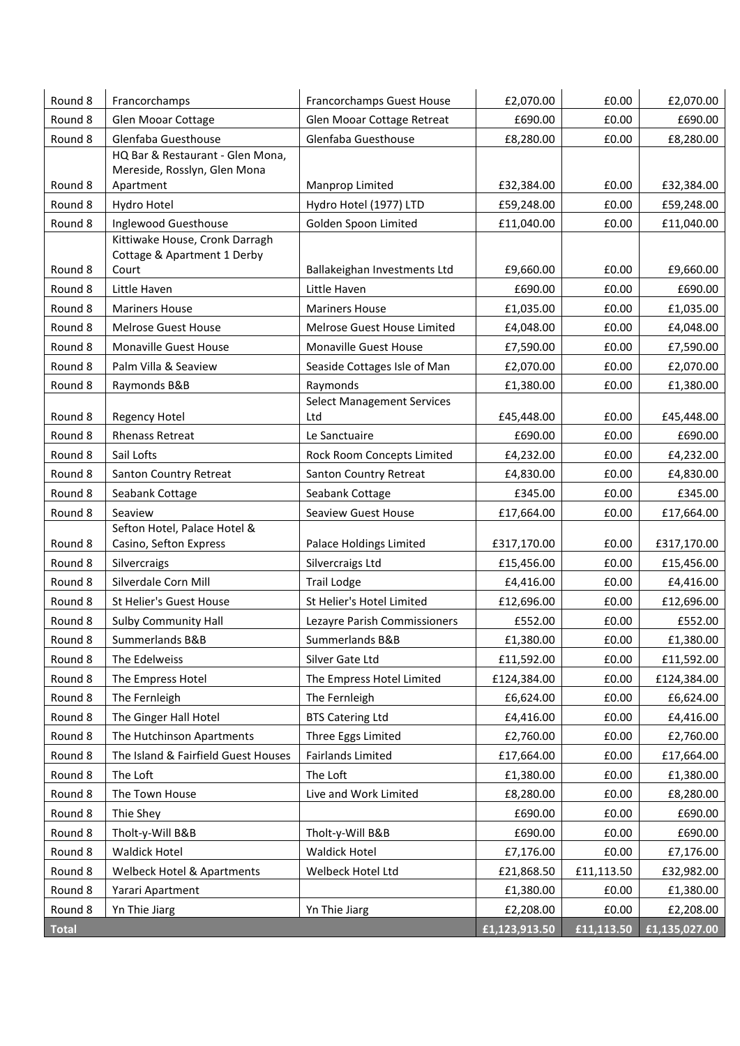| Round 8      | Francorchamps                                          | Francorchamps Guest House         | £2,070.00     | £0.00      | £2,070.00     |
|--------------|--------------------------------------------------------|-----------------------------------|---------------|------------|---------------|
| Round 8      | Glen Mooar Cottage                                     | Glen Mooar Cottage Retreat        | £690.00       | £0.00      | £690.00       |
| Round 8      | Glenfaba Guesthouse                                    | Glenfaba Guesthouse               | £8,280.00     | £0.00      | £8,280.00     |
|              | HQ Bar & Restaurant - Glen Mona,                       |                                   |               |            |               |
|              | Mereside, Rosslyn, Glen Mona                           |                                   |               |            |               |
| Round 8      | Apartment                                              | Manprop Limited                   | £32,384.00    | £0.00      | £32,384.00    |
| Round 8      | Hydro Hotel                                            | Hydro Hotel (1977) LTD            | £59,248.00    | £0.00      | £59,248.00    |
| Round 8      | Inglewood Guesthouse<br>Kittiwake House, Cronk Darragh | Golden Spoon Limited              | £11,040.00    | £0.00      | £11,040.00    |
|              | Cottage & Apartment 1 Derby                            |                                   |               |            |               |
| Round 8      | Court                                                  | Ballakeighan Investments Ltd      | £9,660.00     | £0.00      | £9,660.00     |
| Round 8      | Little Haven                                           | Little Haven                      | £690.00       | £0.00      | £690.00       |
| Round 8      | <b>Mariners House</b>                                  | <b>Mariners House</b>             | £1,035.00     | £0.00      | £1,035.00     |
| Round 8      | Melrose Guest House                                    | Melrose Guest House Limited       | £4,048.00     | £0.00      | £4,048.00     |
| Round 8      | Monaville Guest House                                  | Monaville Guest House             | £7,590.00     | £0.00      | £7,590.00     |
| Round 8      | Palm Villa & Seaview                                   | Seaside Cottages Isle of Man      | £2,070.00     | £0.00      | £2,070.00     |
| Round 8      | Raymonds B&B                                           | Raymonds                          | £1,380.00     | £0.00      | £1,380.00     |
|              |                                                        | <b>Select Management Services</b> |               |            |               |
| Round 8      | <b>Regency Hotel</b>                                   | Ltd                               | £45,448.00    | £0.00      | £45,448.00    |
| Round 8      | <b>Rhenass Retreat</b>                                 | Le Sanctuaire                     | £690.00       | £0.00      | £690.00       |
| Round 8      | Sail Lofts                                             | Rock Room Concepts Limited        | £4,232.00     | £0.00      | £4,232.00     |
| Round 8      | Santon Country Retreat                                 | Santon Country Retreat            | £4,830.00     | £0.00      | £4,830.00     |
| Round 8      | Seabank Cottage                                        | Seabank Cottage                   | £345.00       | £0.00      | £345.00       |
| Round 8      | Seaview                                                | <b>Seaview Guest House</b>        | £17,664.00    | £0.00      | £17,664.00    |
| Round 8      | Sefton Hotel, Palace Hotel &<br>Casino, Sefton Express | Palace Holdings Limited           | £317,170.00   | £0.00      | £317,170.00   |
| Round 8      | Silvercraigs                                           | Silvercraigs Ltd                  | £15,456.00    | £0.00      | £15,456.00    |
| Round 8      | Silverdale Corn Mill                                   | <b>Trail Lodge</b>                | £4,416.00     | £0.00      | £4,416.00     |
| Round 8      | St Helier's Guest House                                | St Helier's Hotel Limited         | £12,696.00    | £0.00      | £12,696.00    |
| Round 8      | <b>Sulby Community Hall</b>                            | Lezayre Parish Commissioners      | £552.00       | £0.00      | £552.00       |
| Round 8      | Summerlands B&B                                        | Summerlands B&B                   | £1,380.00     | £0.00      | £1,380.00     |
| Round 8      | The Edelweiss                                          | Silver Gate Ltd                   | £11,592.00    | £0.00      | £11,592.00    |
| Round 8      | The Empress Hotel                                      | The Empress Hotel Limited         | £124,384.00   | £0.00      | £124,384.00   |
| Round 8      | The Fernleigh                                          | The Fernleigh                     | £6,624.00     | £0.00      | £6,624.00     |
| Round 8      | The Ginger Hall Hotel                                  | <b>BTS Catering Ltd</b>           | £4,416.00     | £0.00      | £4,416.00     |
| Round 8      | The Hutchinson Apartments                              | Three Eggs Limited                | £2,760.00     | £0.00      | £2,760.00     |
| Round 8      | The Island & Fairfield Guest Houses                    | <b>Fairlands Limited</b>          | £17,664.00    | £0.00      | £17,664.00    |
| Round 8      | The Loft                                               | The Loft                          | £1,380.00     | £0.00      | £1,380.00     |
| Round 8      | The Town House                                         | Live and Work Limited             | £8,280.00     | £0.00      | £8,280.00     |
| Round 8      | Thie Shey                                              |                                   | £690.00       | £0.00      | £690.00       |
| Round 8      | Tholt-y-Will B&B                                       | Tholt-y-Will B&B                  | £690.00       | £0.00      | £690.00       |
| Round 8      | <b>Waldick Hotel</b>                                   | <b>Waldick Hotel</b>              | £7,176.00     | £0.00      | £7,176.00     |
| Round 8      | Welbeck Hotel & Apartments                             | Welbeck Hotel Ltd                 | £21,868.50    | £11,113.50 | £32,982.00    |
| Round 8      | Yarari Apartment                                       |                                   | £1,380.00     | £0.00      | £1,380.00     |
| Round 8      | Yn Thie Jiarg                                          | Yn Thie Jiarg                     | £2,208.00     | £0.00      | £2,208.00     |
| <b>Total</b> |                                                        |                                   | £1,123,913.50 | £11,113.50 | £1,135,027.00 |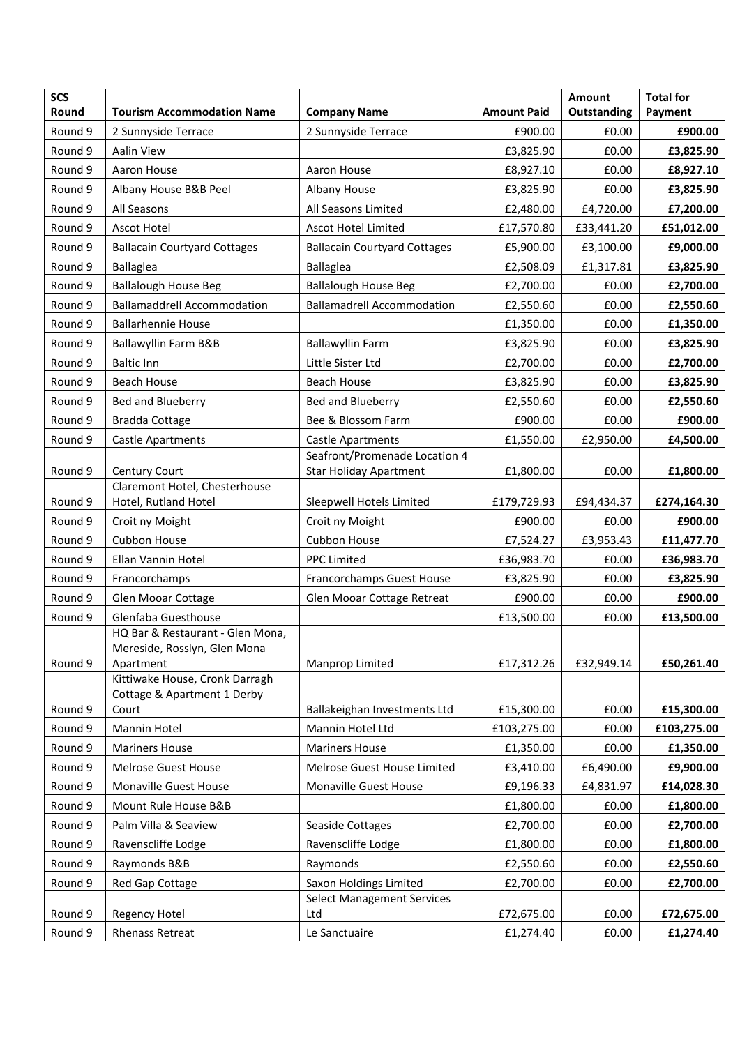| <b>SCS</b><br>Round | <b>Tourism Accommodation Name</b>                                             | <b>Company Name</b>                      | <b>Amount Paid</b>    | <b>Amount</b><br>Outstanding | <b>Total for</b><br>Payment |
|---------------------|-------------------------------------------------------------------------------|------------------------------------------|-----------------------|------------------------------|-----------------------------|
| Round 9             | 2 Sunnyside Terrace                                                           | 2 Sunnyside Terrace                      | £900.00               | £0.00                        | £900.00                     |
| Round 9             | <b>Aalin View</b>                                                             |                                          | £3,825.90             | £0.00                        | £3,825.90                   |
| Round 9             | Aaron House                                                                   | Aaron House                              | £8,927.10             | £0.00                        | £8,927.10                   |
| Round 9             | Albany House B&B Peel                                                         | Albany House                             | £3,825.90             | £0.00                        | £3,825.90                   |
| Round 9             | All Seasons                                                                   | All Seasons Limited                      | £2,480.00             | £4,720.00                    | £7,200.00                   |
| Round 9             | <b>Ascot Hotel</b>                                                            | <b>Ascot Hotel Limited</b>               | £17,570.80            | £33,441.20                   | £51,012.00                  |
| Round 9             | <b>Ballacain Courtyard Cottages</b>                                           | <b>Ballacain Courtyard Cottages</b>      | £5,900.00             | £3,100.00                    | £9,000.00                   |
| Round 9             | <b>Ballaglea</b>                                                              | <b>Ballaglea</b>                         | £2,508.09             | £1,317.81                    | £3,825.90                   |
| Round 9             | <b>Ballalough House Beg</b>                                                   | <b>Ballalough House Beg</b>              | £2,700.00             | £0.00                        | £2,700.00                   |
| Round 9             | <b>Ballamaddrell Accommodation</b>                                            | <b>Ballamadrell Accommodation</b>        | £2,550.60             | £0.00                        | £2,550.60                   |
| Round 9             | <b>Ballarhennie House</b>                                                     |                                          | £1,350.00             | £0.00                        | £1,350.00                   |
| Round 9             | Ballawyllin Farm B&B                                                          | <b>Ballawyllin Farm</b>                  | £3,825.90             | £0.00                        | £3,825.90                   |
| Round 9             | <b>Baltic Inn</b>                                                             | Little Sister Ltd                        | £2,700.00             | £0.00                        | £2,700.00                   |
| Round 9             | <b>Beach House</b>                                                            | Beach House                              | £3,825.90             | £0.00                        | £3,825.90                   |
| Round 9             | Bed and Blueberry                                                             | Bed and Blueberry                        | £2,550.60             | £0.00                        | £2,550.60                   |
| Round 9             | <b>Bradda Cottage</b>                                                         | Bee & Blossom Farm                       | £900.00               | £0.00                        | £900.00                     |
| Round 9             | Castle Apartments                                                             | <b>Castle Apartments</b>                 | £1,550.00             | £2,950.00                    | £4,500.00                   |
|                     |                                                                               | Seafront/Promenade Location 4            |                       |                              |                             |
| Round 9             | Century Court                                                                 | <b>Star Holiday Apartment</b>            | £1,800.00             | £0.00                        | £1,800.00                   |
| Round 9             | Claremont Hotel, Chesterhouse<br>Hotel, Rutland Hotel                         | Sleepwell Hotels Limited                 | £179,729.93           | £94,434.37                   | £274,164.30                 |
| Round 9             | Croit ny Moight                                                               | Croit ny Moight                          | £900.00               | £0.00                        | £900.00                     |
| Round 9             | Cubbon House                                                                  | Cubbon House                             | £7,524.27             | £3,953.43                    | £11,477.70                  |
| Round 9             | Ellan Vannin Hotel                                                            | <b>PPC Limited</b>                       | £36,983.70            | £0.00                        | £36,983.70                  |
| Round 9             |                                                                               |                                          |                       | £0.00                        |                             |
|                     | Francorchamps                                                                 | Francorchamps Guest House                | £3,825.90             |                              | £3,825.90<br>£900.00        |
| Round 9<br>Round 9  | Glen Mooar Cottage<br>Glenfaba Guesthouse                                     | Glen Mooar Cottage Retreat               | £900.00<br>£13,500.00 | £0.00<br>£0.00               | £13,500.00                  |
| Round 9             | HQ Bar & Restaurant - Glen Mona,<br>Mereside, Rosslyn, Glen Mona<br>Apartment | Manprop Limited                          | £17,312.26            | £32,949.14                   | £50,261.40                  |
| Round 9             | Kittiwake House, Cronk Darragh<br>Cottage & Apartment 1 Derby<br>Court        | Ballakeighan Investments Ltd             | £15,300.00            | £0.00                        | £15,300.00                  |
| Round 9             | Mannin Hotel                                                                  | Mannin Hotel Ltd                         | £103,275.00           | £0.00                        | £103,275.00                 |
| Round 9             | <b>Mariners House</b>                                                         | <b>Mariners House</b>                    | £1,350.00             | £0.00                        | £1,350.00                   |
| Round 9             | <b>Melrose Guest House</b>                                                    | Melrose Guest House Limited              | £3,410.00             | £6,490.00                    | £9,900.00                   |
| Round 9             | Monaville Guest House                                                         | Monaville Guest House                    | £9,196.33             | £4,831.97                    | £14,028.30                  |
| Round 9             | Mount Rule House B&B                                                          |                                          | £1,800.00             | £0.00                        | £1,800.00                   |
| Round 9             | Palm Villa & Seaview                                                          | Seaside Cottages                         | £2,700.00             | £0.00                        | £2,700.00                   |
| Round 9             | Ravenscliffe Lodge                                                            | Ravenscliffe Lodge                       | £1,800.00             | £0.00                        | £1,800.00                   |
| Round 9             | Raymonds B&B                                                                  | Raymonds                                 | £2,550.60             | £0.00                        | £2,550.60                   |
| Round 9             | Red Gap Cottage                                                               | Saxon Holdings Limited                   | £2,700.00             | £0.00                        | £2,700.00                   |
| Round 9             | <b>Regency Hotel</b>                                                          | <b>Select Management Services</b><br>Ltd | £72,675.00            | £0.00                        | £72,675.00                  |
| Round 9             | <b>Rhenass Retreat</b>                                                        | Le Sanctuaire                            | £1,274.40             | £0.00                        | £1,274.40                   |